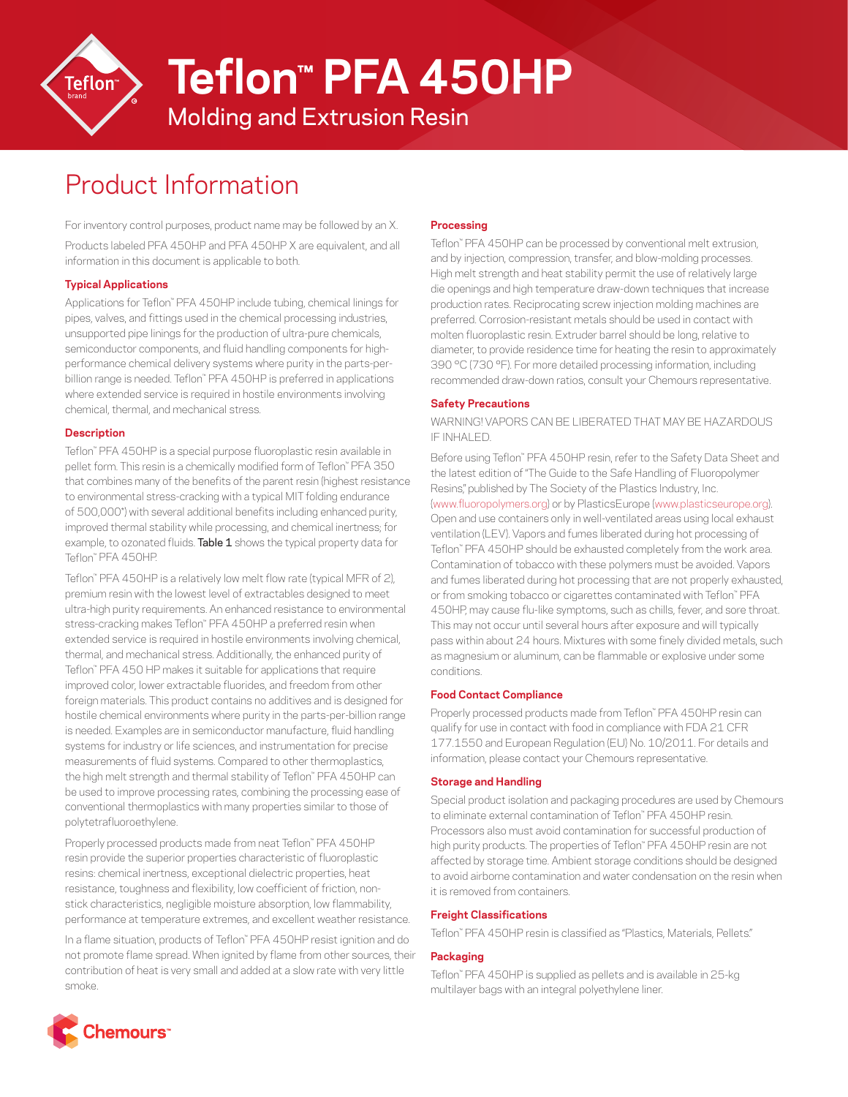

**Teflon™ PFA 450HP**

Molding and Extrusion Resin

# Product Information

For inventory control purposes, product name may be followed by an X.

Products labeled PFA 450HP and PFA 450HP X are equivalent, and all information in this document is applicable to both.

## **Typical Applications**

Applications for Teflon™ PFA 450HP include tubing, chemical linings for pipes, valves, and fittings used in the chemical processing industries, unsupported pipe linings for the production of ultra-pure chemicals, semiconductor components, and fluid handling components for highperformance chemical delivery systems where purity in the parts-perbillion range is needed. Teflon™ PFA 450HP is preferred in applications where extended service is required in hostile environments involving chemical, thermal, and mechanical stress.

## **Description**

Teflon™ PFA 450HP is a special purpose fluoroplastic resin available in pellet form. This resin is a chemically modified form of Teflon™ PFA 350 that combines many of the benefits of the parent resin (highest resistance to environmental stress-cracking with a typical MIT folding endurance of 500,000\*) with several additional benefits including enhanced purity, improved thermal stability while processing, and chemical inertness; for example, to ozonated fluids. Table 1 shows the typical property data for Teflon™ PFA 450HP.

Teflon™ PFA 450HP is a relatively low melt flow rate (typical MFR of 2), premium resin with the lowest level of extractables designed to meet ultra-high purity requirements. An enhanced resistance to environmental stress-cracking makes Teflon™ PFA 450HP a preferred resin when extended service is required in hostile environments involving chemical, thermal, and mechanical stress. Additionally, the enhanced purity of Teflon™ PFA 450 HP makes it suitable for applications that require improved color, lower extractable fluorides, and freedom from other foreign materials. This product contains no additives and is designed for hostile chemical environments where purity in the parts-per-billion range is needed. Examples are in semiconductor manufacture, fluid handling systems for industry or life sciences, and instrumentation for precise measurements of fluid systems. Compared to other thermoplastics, the high melt strength and thermal stability of Teflon™ PFA 450HP can be used to improve processing rates, combining the processing ease of conventional thermoplastics with many properties similar to those of polytetrafluoroethylene.

Properly processed products made from neat Teflon™ PFA 450HP resin provide the superior properties characteristic of fluoroplastic resins: chemical inertness, exceptional dielectric properties, heat resistance, toughness and flexibility, low coefficient of friction, nonstick characteristics, negligible moisture absorption, low flammability, performance at temperature extremes, and excellent weather resistance.

In a flame situation, products of Teflon™ PFA 450HP resist ignition and do not promote flame spread. When ignited by flame from other sources, their contribution of heat is very small and added at a slow rate with very little smoke.

## **Processing**

Teflon™ PFA 450HP can be processed by conventional melt extrusion, and by injection, compression, transfer, and blow-molding processes. High melt strength and heat stability permit the use of relatively large die openings and high temperature draw-down techniques that increase production rates. Reciprocating screw injection molding machines are preferred. Corrosion-resistant metals should be used in contact with molten fluoroplastic resin. Extruder barrel should be long, relative to diameter, to provide residence time for heating the resin to approximately 390 °C (730 °F). For more detailed processing information, including recommended draw-down ratios, consult your Chemours representative.

## **Safety Precautions**

WARNING! VAPORS CAN BE LIBERATED THAT MAY BE HAZARDOUS IF INHALED.

Before using Teflon™ PFA 450HP resin, refer to the Safety Data Sheet and the latest edition of "The Guide to the Safe Handling of Fluoropolymer Resins," published by The Society of the Plastics Industry, Inc. ([www.fluoropolymers.org](http://www.fluoropolymers.org)) or by PlasticsEurope ([www.plasticseurope.org\)](http://www.plasticseurope.org). Open and use containers only in well-ventilated areas using local exhaust ventilation (LEV). Vapors and fumes liberated during hot processing of Teflon™ PFA 450HP should be exhausted completely from the work area. Contamination of tobacco with these polymers must be avoided. Vapors and fumes liberated during hot processing that are not properly exhausted, or from smoking tobacco or cigarettes contaminated with Teflon™ PFA 450HP, may cause flu-like symptoms, such as chills, fever, and sore throat. This may not occur until several hours after exposure and will typically pass within about 24 hours. Mixtures with some finely divided metals, such as magnesium or aluminum, can be flammable or explosive under some conditions.

## **Food Contact Compliance**

Properly processed products made from Teflon™ PFA 450HP resin can qualify for use in contact with food in compliance with FDA 21 CFR 177.1550 and European Regulation (EU) No. 10/2011. For details and information, please contact your Chemours representative.

## **Storage and Handling**

Special product isolation and packaging procedures are used by Chemours to eliminate external contamination of Teflon™ PFA 450HP resin. Processors also must avoid contamination for successful production of high purity products. The properties of Teflon™ PFA 450HP resin are not affected by storage time. Ambient storage conditions should be designed to avoid airborne contamination and water condensation on the resin when it is removed from containers.

## **Freight Classifications**

Teflon™ PFA 450HP resin is classified as "Plastics, Materials, Pellets."

## **Packaging**

Teflon™ PFA 450HP is supplied as pellets and is available in 25-kg multilayer bags with an integral polyethylene liner.